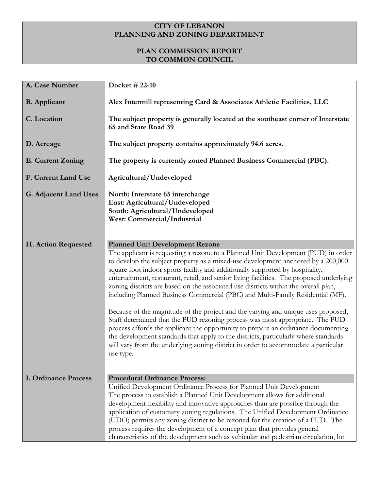## **CITY OF LEBANON PLANNING AND ZONING DEPARTMENT**

## **PLAN COMMISSION REPORT TO COMMON COUNCIL**

| A. Case Number               | Docket # $22-10$                                                                                                                                                                                                                                                                                                                                                                                                                                                                                                                                                      |
|------------------------------|-----------------------------------------------------------------------------------------------------------------------------------------------------------------------------------------------------------------------------------------------------------------------------------------------------------------------------------------------------------------------------------------------------------------------------------------------------------------------------------------------------------------------------------------------------------------------|
| <b>B.</b> Applicant          | Alex Intermill representing Card & Associates Athletic Facilities, LLC                                                                                                                                                                                                                                                                                                                                                                                                                                                                                                |
| C. Location                  | The subject property is generally located at the southeast corner of Interstate<br>65 and State Road 39                                                                                                                                                                                                                                                                                                                                                                                                                                                               |
| D. Acreage                   | The subject property contains approximately 94.6 acres.                                                                                                                                                                                                                                                                                                                                                                                                                                                                                                               |
| E. Current Zoning            | The property is currently zoned Planned Business Commercial (PBC).                                                                                                                                                                                                                                                                                                                                                                                                                                                                                                    |
| F. Current Land Use          | Agricultural/Undeveloped                                                                                                                                                                                                                                                                                                                                                                                                                                                                                                                                              |
| <b>G. Adjacent Land Uses</b> | North: Interstate 65 interchange<br>East: Agricultural/Undeveloped<br>South: Agricultural/Undeveloped<br><b>West: Commercial/Industrial</b>                                                                                                                                                                                                                                                                                                                                                                                                                           |
| H. Action Requested          | <b>Planned Unit Development Rezone</b><br>The applicant is requesting a rezone to a Planned Unit Development (PUD) in order<br>to develop the subject property as a mixed-use development anchored by a 200,000<br>square foot indoor sports facility and additionally supported by hospitality,<br>entertainment, restaurant, retail, and senior living facilities. The proposed underlying<br>zoning districts are based on the associated use districts within the overall plan,<br>including Planned Business Commercial (PBC) and Multi-Family Residential (MF). |
|                              | Because of the magnitude of the project and the varying and unique uses proposed,<br>Staff determined that the PUD rezoning process was most appropriate. The PUD<br>process affords the applicant the opportunity to prepare an ordinance documenting<br>the development standards that apply to the districts, particularly where standards<br>will vary from the underlying zoning district in order to accommodate a particular<br>use type.                                                                                                                      |
| <b>I. Ordinance Process</b>  | <b>Procedural Ordinance Process:</b>                                                                                                                                                                                                                                                                                                                                                                                                                                                                                                                                  |
|                              | Unified Development Ordinance Process for Planned Unit Development                                                                                                                                                                                                                                                                                                                                                                                                                                                                                                    |
|                              | The process to establish a Planned Unit Development allows for additional                                                                                                                                                                                                                                                                                                                                                                                                                                                                                             |
|                              | development flexibility and innovative approaches than are possible through the<br>application of customary zoning regulations. The Unified Development Ordinance                                                                                                                                                                                                                                                                                                                                                                                                     |
|                              | (UDO) permits any zoning district to be rezoned for the creation of a PUD. The                                                                                                                                                                                                                                                                                                                                                                                                                                                                                        |
|                              | process requires the development of a concept plan that provides general                                                                                                                                                                                                                                                                                                                                                                                                                                                                                              |
|                              | characteristics of the development such as vehicular and pedestrian circulation, lot                                                                                                                                                                                                                                                                                                                                                                                                                                                                                  |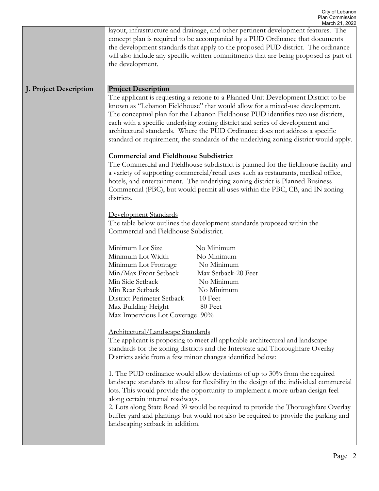|                        | March 21, 2022<br>layout, infrastructure and drainage, and other pertinent development features. The<br>concept plan is required to be accompanied by a PUD Ordinance that documents<br>the development standards that apply to the proposed PUD district. The ordinance<br>will also include any specific written commitments that are being proposed as part of<br>the development.                                                                                                                                                                                                                                                                                                                                                                                                                                                                                                                                                                                                                                                                                                      |
|------------------------|--------------------------------------------------------------------------------------------------------------------------------------------------------------------------------------------------------------------------------------------------------------------------------------------------------------------------------------------------------------------------------------------------------------------------------------------------------------------------------------------------------------------------------------------------------------------------------------------------------------------------------------------------------------------------------------------------------------------------------------------------------------------------------------------------------------------------------------------------------------------------------------------------------------------------------------------------------------------------------------------------------------------------------------------------------------------------------------------|
| J. Project Description | <b>Project Description</b><br>The applicant is requesting a rezone to a Planned Unit Development District to be<br>known as "Lebanon Fieldhouse" that would allow for a mixed-use development.<br>The conceptual plan for the Lebanon Fieldhouse PUD identifies two use districts,<br>each with a specific underlying zoning district and series of development and<br>architectural standards. Where the PUD Ordinance does not address a specific<br>standard or requirement, the standards of the underlying zoning district would apply.                                                                                                                                                                                                                                                                                                                                                                                                                                                                                                                                               |
|                        | <b>Commercial and Fieldhouse Subdistrict</b><br>The Commercial and Fieldhouse subdistrict is planned for the fieldhouse facility and<br>a variety of supporting commercial/retail uses such as restaurants, medical office,<br>hotels, and entertainment. The underlying zoning district is Planned Business<br>Commercial (PBC), but would permit all uses within the PBC, CB, and IN zoning<br>districts.                                                                                                                                                                                                                                                                                                                                                                                                                                                                                                                                                                                                                                                                                |
|                        | Development Standards<br>The table below outlines the development standards proposed within the<br>Commercial and Fieldhouse Subdistrict.                                                                                                                                                                                                                                                                                                                                                                                                                                                                                                                                                                                                                                                                                                                                                                                                                                                                                                                                                  |
|                        | Minimum Lot Size<br>No Minimum<br>Minimum Lot Width<br>No Minimum<br>Minimum Lot Frontage<br>No Minimum<br>Min/Max Front Setback<br>Max Setback-20 Feet<br>Min Side Setback<br>No Minimum<br>No Minimum<br>Min Rear Setback<br>10 Feet<br>District Perimeter Setback<br>Max Building Height<br>80 Feet<br>Max Impervious Lot Coverage 90%<br>Architectural/Landscape Standards<br>The applicant is proposing to meet all applicable architectural and landscape<br>standards for the zoning districts and the Interstate and Thoroughfare Overlay<br>Districts aside from a few minor changes identified below:<br>1. The PUD ordinance would allow deviations of up to 30% from the required<br>landscape standards to allow for flexibility in the design of the individual commercial<br>lots. This would provide the opportunity to implement a more urban design feel<br>along certain internal roadways.<br>2. Lots along State Road 39 would be required to provide the Thoroughfare Overlay<br>buffer yard and plantings but would not also be required to provide the parking and |
|                        | landscaping setback in addition.                                                                                                                                                                                                                                                                                                                                                                                                                                                                                                                                                                                                                                                                                                                                                                                                                                                                                                                                                                                                                                                           |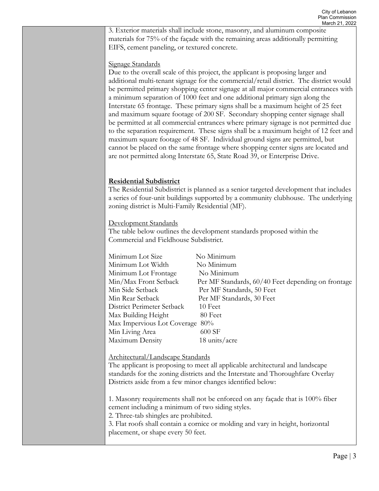3. Exterior materials shall include stone, masonry, and aluminum composite materials for 75% of the façade with the remaining areas additionally permitting EIFS, cement paneling, or textured concrete.

## Signage Standards

Due to the overall scale of this project, the applicant is proposing larger and additional multi-tenant signage for the commercial/retail district. The district would be permitted primary shopping center signage at all major commercial entrances with a minimum separation of 1000 feet and one additional primary sign along the Interstate 65 frontage. These primary signs shall be a maximum height of 25 feet and maximum square footage of 200 SF. Secondary shopping center signage shall be permitted at all commercial entrances where primary signage is not permitted due to the separation requirement. These signs shall be a maximum height of 12 feet and maximum square footage of 48 SF. Individual ground signs are permitted, but cannot be placed on the same frontage where shopping center signs are located and are not permitted along Interstate 65, State Road 39, or Enterprise Drive.

## **Residential Subdistrict**

The Residential Subdistrict is planned as a senior targeted development that includes a series of four-unit buildings supported by a community clubhouse. The underlying zoning district is Multi-Family Residential (MF).

Development Standards

The table below outlines the development standards proposed within the Commercial and Fieldhouse Subdistrict.

| Minimum Lot Size                | No Minimum                                         |
|---------------------------------|----------------------------------------------------|
| Minimum Lot Width               | No Minimum                                         |
| Minimum Lot Frontage            | No Minimum                                         |
| Min/Max Front Setback           | Per MF Standards, 60/40 Feet depending on frontage |
| Min Side Setback                | Per MF Standards, 50 Feet                          |
| Min Rear Setback                | Per MF Standards, 30 Feet                          |
| District Perimeter Setback      | 10 Feet                                            |
| Max Building Height             | 80 Feet                                            |
| Max Impervious Lot Coverage 80% |                                                    |
| Min Living Area                 | 600 SF                                             |
| Maximum Density                 | 18 units/acre                                      |

Architectural/Landscape Standards

The applicant is proposing to meet all applicable architectural and landscape standards for the zoning districts and the Interstate and Thoroughfare Overlay Districts aside from a few minor changes identified below:

1. Masonry requirements shall not be enforced on any façade that is 100% fiber cement including a minimum of two siding styles.

2. Three-tab shingles are prohibited.

3. Flat roofs shall contain a cornice or molding and vary in height, horizontal placement, or shape every 50 feet.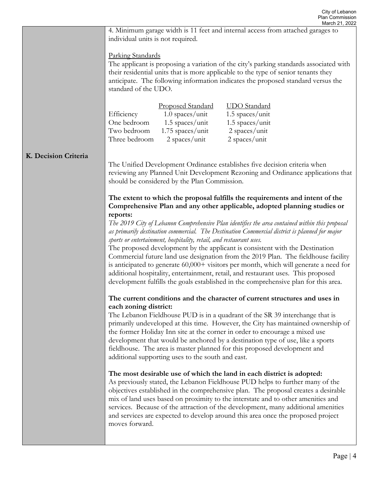|                      | March 21, 2022                                                                                                                                                                                                                                                                           |
|----------------------|------------------------------------------------------------------------------------------------------------------------------------------------------------------------------------------------------------------------------------------------------------------------------------------|
|                      | 4. Minimum garage width is 11 feet and internal access from attached garages to<br>individual units is not required.                                                                                                                                                                     |
|                      | Parking Standards                                                                                                                                                                                                                                                                        |
|                      | The applicant is proposing a variation of the city's parking standards associated with<br>their residential units that is more applicable to the type of senior tenants they<br>anticipate. The following information indicates the proposed standard versus the<br>standard of the UDO. |
|                      |                                                                                                                                                                                                                                                                                          |
|                      | UDO Standard<br><b>Proposed Standard</b>                                                                                                                                                                                                                                                 |
|                      | $1.0$ spaces/unit<br>1.5 spaces/unit<br>Efficiency                                                                                                                                                                                                                                       |
|                      | One bedroom<br>1.5 spaces/unit<br>1.5 spaces/unit                                                                                                                                                                                                                                        |
|                      | Two bedroom<br>$1.75$ spaces/unit<br>2 spaces/unit                                                                                                                                                                                                                                       |
|                      | Three bedroom<br>$2$ spaces/unit<br>2 spaces/unit                                                                                                                                                                                                                                        |
| K. Decision Criteria | The Unified Development Ordinance establishes five decision criteria when                                                                                                                                                                                                                |
|                      | reviewing any Planned Unit Development Rezoning and Ordinance applications that<br>should be considered by the Plan Commission.                                                                                                                                                          |
|                      | The extent to which the proposal fulfills the requirements and intent of the<br>Comprehensive Plan and any other applicable, adopted planning studies or                                                                                                                                 |
|                      | reports:                                                                                                                                                                                                                                                                                 |
|                      | The 2019 City of Lebanon Comprehensive Plan identifies the area contained within this proposal                                                                                                                                                                                           |
|                      | as primarily destination commercial. The Destination Commercial district is planned for major                                                                                                                                                                                            |
|                      | sports or entertainment, hospitality, retail, and restaurant uses.                                                                                                                                                                                                                       |
|                      | The proposed development by the applicant is consistent with the Destination                                                                                                                                                                                                             |
|                      | Commercial future land use designation from the 2019 Plan. The fieldhouse facility<br>is anticipated to generate 60,000+ visitors per month, which will generate a need for                                                                                                              |
|                      | additional hospitality, entertainment, retail, and restaurant uses. This proposed                                                                                                                                                                                                        |
|                      | development fulfills the goals established in the comprehensive plan for this area.                                                                                                                                                                                                      |
|                      | The current conditions and the character of current structures and uses in                                                                                                                                                                                                               |
|                      | each zoning district:<br>The Lebanon Fieldhouse PUD is in a quadrant of the SR 39 interchange that is                                                                                                                                                                                    |
|                      | primarily undeveloped at this time. However, the City has maintained ownership of                                                                                                                                                                                                        |
|                      | the former Holiday Inn site at the corner in order to encourage a mixed use                                                                                                                                                                                                              |
|                      | development that would be anchored by a destination type of use, like a sports                                                                                                                                                                                                           |
|                      | fieldhouse. The area is master planned for this proposed development and                                                                                                                                                                                                                 |
|                      | additional supporting uses to the south and east.                                                                                                                                                                                                                                        |
|                      | The most desirable use of which the land in each district is adopted:                                                                                                                                                                                                                    |
|                      | As previously stated, the Lebanon Fieldhouse PUD helps to further many of the                                                                                                                                                                                                            |
|                      | objectives established in the comprehensive plan. The proposal creates a desirable                                                                                                                                                                                                       |
|                      | mix of land uses based on proximity to the interstate and to other amenities and                                                                                                                                                                                                         |
|                      | services. Because of the attraction of the development, many additional amenities                                                                                                                                                                                                        |
|                      | and services are expected to develop around this area once the proposed project<br>moves forward.                                                                                                                                                                                        |
|                      |                                                                                                                                                                                                                                                                                          |
|                      |                                                                                                                                                                                                                                                                                          |